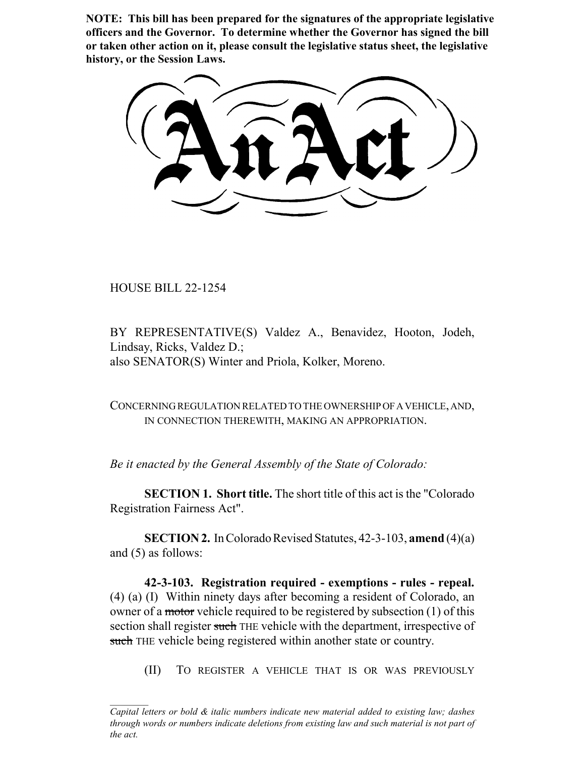**NOTE: This bill has been prepared for the signatures of the appropriate legislative officers and the Governor. To determine whether the Governor has signed the bill or taken other action on it, please consult the legislative status sheet, the legislative history, or the Session Laws.**

HOUSE BILL 22-1254

BY REPRESENTATIVE(S) Valdez A., Benavidez, Hooton, Jodeh, Lindsay, Ricks, Valdez D.; also SENATOR(S) Winter and Priola, Kolker, Moreno.

CONCERNING REGULATION RELATED TO THE OWNERSHIP OF A VEHICLE, AND, IN CONNECTION THEREWITH, MAKING AN APPROPRIATION.

*Be it enacted by the General Assembly of the State of Colorado:*

**SECTION 1. Short title.** The short title of this act is the "Colorado Registration Fairness Act".

**SECTION 2.** In Colorado Revised Statutes, 42-3-103, **amend** (4)(a) and (5) as follows:

**42-3-103. Registration required - exemptions - rules - repeal.** (4) (a) (I) Within ninety days after becoming a resident of Colorado, an owner of a motor vehicle required to be registered by subsection (1) of this section shall register such THE vehicle with the department, irrespective of such THE vehicle being registered within another state or country.

(II) TO REGISTER A VEHICLE THAT IS OR WAS PREVIOUSLY

*Capital letters or bold & italic numbers indicate new material added to existing law; dashes through words or numbers indicate deletions from existing law and such material is not part of the act.*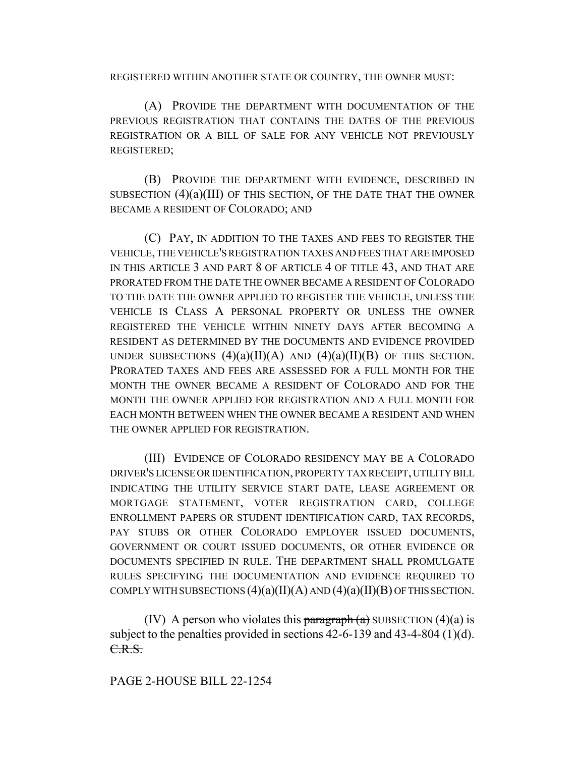REGISTERED WITHIN ANOTHER STATE OR COUNTRY, THE OWNER MUST:

(A) PROVIDE THE DEPARTMENT WITH DOCUMENTATION OF THE PREVIOUS REGISTRATION THAT CONTAINS THE DATES OF THE PREVIOUS REGISTRATION OR A BILL OF SALE FOR ANY VEHICLE NOT PREVIOUSLY REGISTERED;

(B) PROVIDE THE DEPARTMENT WITH EVIDENCE, DESCRIBED IN SUBSECTION (4)(a)(III) OF THIS SECTION, OF THE DATE THAT THE OWNER BECAME A RESIDENT OF COLORADO; AND

(C) PAY, IN ADDITION TO THE TAXES AND FEES TO REGISTER THE VEHICLE, THE VEHICLE'S REGISTRATION TAXES AND FEES THAT ARE IMPOSED IN THIS ARTICLE 3 AND PART 8 OF ARTICLE 4 OF TITLE 43, AND THAT ARE PRORATED FROM THE DATE THE OWNER BECAME A RESIDENT OF COLORADO TO THE DATE THE OWNER APPLIED TO REGISTER THE VEHICLE, UNLESS THE VEHICLE IS CLASS A PERSONAL PROPERTY OR UNLESS THE OWNER REGISTERED THE VEHICLE WITHIN NINETY DAYS AFTER BECOMING A RESIDENT AS DETERMINED BY THE DOCUMENTS AND EVIDENCE PROVIDED UNDER SUBSECTIONS  $(4)(a)(II)(A)$  AND  $(4)(a)(II)(B)$  OF THIS SECTION. PRORATED TAXES AND FEES ARE ASSESSED FOR A FULL MONTH FOR THE MONTH THE OWNER BECAME A RESIDENT OF COLORADO AND FOR THE MONTH THE OWNER APPLIED FOR REGISTRATION AND A FULL MONTH FOR EACH MONTH BETWEEN WHEN THE OWNER BECAME A RESIDENT AND WHEN THE OWNER APPLIED FOR REGISTRATION.

(III) EVIDENCE OF COLORADO RESIDENCY MAY BE A COLORADO DRIVER'S LICENSE OR IDENTIFICATION, PROPERTY TAX RECEIPT, UTILITY BILL INDICATING THE UTILITY SERVICE START DATE, LEASE AGREEMENT OR MORTGAGE STATEMENT, VOTER REGISTRATION CARD, COLLEGE ENROLLMENT PAPERS OR STUDENT IDENTIFICATION CARD, TAX RECORDS, PAY STUBS OR OTHER COLORADO EMPLOYER ISSUED DOCUMENTS, GOVERNMENT OR COURT ISSUED DOCUMENTS, OR OTHER EVIDENCE OR DOCUMENTS SPECIFIED IN RULE. THE DEPARTMENT SHALL PROMULGATE RULES SPECIFYING THE DOCUMENTATION AND EVIDENCE REQUIRED TO COMPLY WITH SUBSECTIONS  $(4)(a)(II)(A)$  AND  $(4)(a)(II)(B)$  OF THIS SECTION.

(IV) A person who violates this  $\frac{\partial f}{\partial x} = \frac{\partial f}{\partial y}$  SUBSECTION (4)(a) is subject to the penalties provided in sections 42-6-139 and 43-4-804 (1)(d). C.R.S.

## PAGE 2-HOUSE BILL 22-1254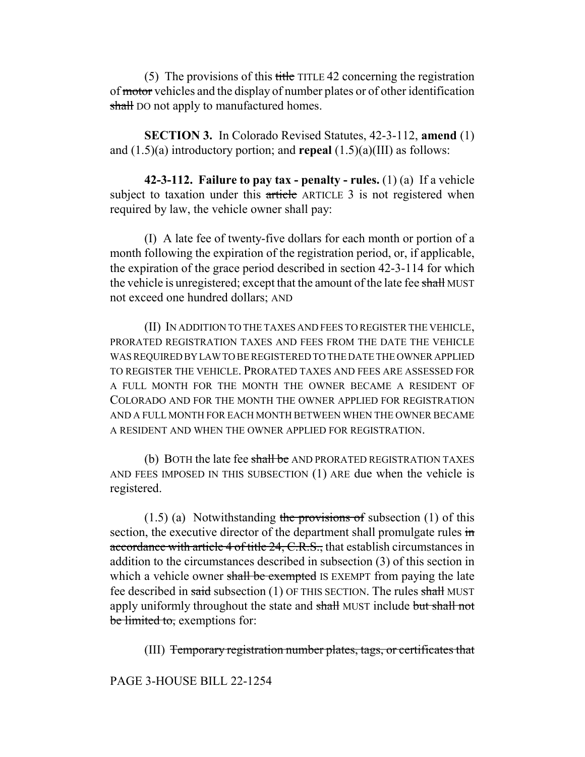(5) The provisions of this title TITLE 42 concerning the registration of motor vehicles and the display of number plates or of other identification shall DO not apply to manufactured homes.

**SECTION 3.** In Colorado Revised Statutes, 42-3-112, **amend** (1) and (1.5)(a) introductory portion; and **repeal** (1.5)(a)(III) as follows:

**42-3-112. Failure to pay tax - penalty - rules.** (1) (a) If a vehicle subject to taxation under this article ARTICLE 3 is not registered when required by law, the vehicle owner shall pay:

(I) A late fee of twenty-five dollars for each month or portion of a month following the expiration of the registration period, or, if applicable, the expiration of the grace period described in section 42-3-114 for which the vehicle is unregistered; except that the amount of the late fee shall MUST not exceed one hundred dollars; AND

(II) IN ADDITION TO THE TAXES AND FEES TO REGISTER THE VEHICLE, PRORATED REGISTRATION TAXES AND FEES FROM THE DATE THE VEHICLE WAS REQUIRED BY LAW TO BE REGISTERED TO THE DATE THE OWNER APPLIED TO REGISTER THE VEHICLE. PRORATED TAXES AND FEES ARE ASSESSED FOR A FULL MONTH FOR THE MONTH THE OWNER BECAME A RESIDENT OF COLORADO AND FOR THE MONTH THE OWNER APPLIED FOR REGISTRATION AND A FULL MONTH FOR EACH MONTH BETWEEN WHEN THE OWNER BECAME A RESIDENT AND WHEN THE OWNER APPLIED FOR REGISTRATION.

(b) BOTH the late fee shall be AND PRORATED REGISTRATION TAXES AND FEES IMPOSED IN THIS SUBSECTION (1) ARE due when the vehicle is registered.

 $(1.5)$  (a) Notwithstanding the provisions of subsection (1) of this section, the executive director of the department shall promulgate rules in accordance with article 4 of title 24, C.R.S., that establish circumstances in addition to the circumstances described in subsection (3) of this section in which a vehicle owner shall be exempted IS EXEMPT from paying the late fee described in said subsection (1) OF THIS SECTION. The rules shall MUST apply uniformly throughout the state and shall MUST include but shall not be limited to, exemptions for:

(III) Temporary registration number plates, tags, or certificates that

PAGE 3-HOUSE BILL 22-1254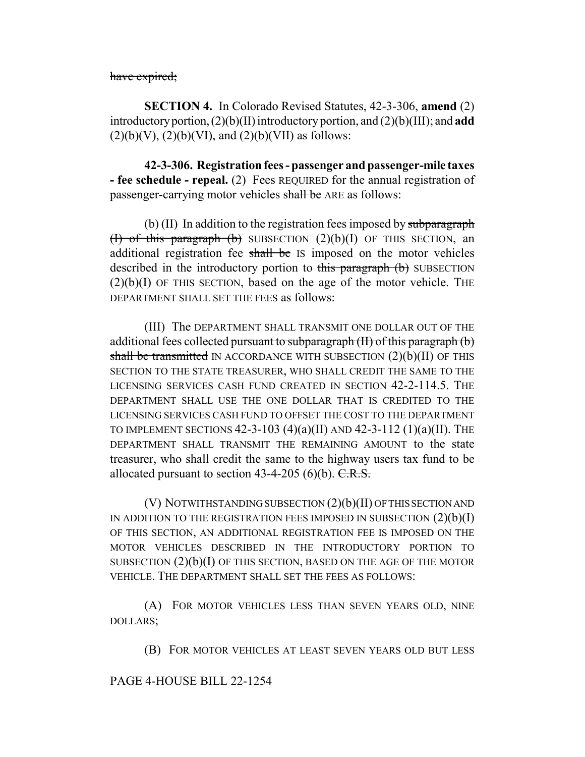have expired;

**SECTION 4.** In Colorado Revised Statutes, 42-3-306, **amend** (2) introductory portion, (2)(b)(II) introductory portion, and (2)(b)(III); and **add**  $(2)(b)(V)$ ,  $(2)(b)(VI)$ , and  $(2)(b)(VII)$  as follows:

**42-3-306. Registration fees - passenger and passenger-mile taxes - fee schedule - repeal.** (2) Fees REQUIRED for the annual registration of passenger-carrying motor vehicles shall be ARE as follows:

(b)  $(II)$  In addition to the registration fees imposed by subparagraph (I) of this paragraph (b) SUBSECTION  $(2)(b)(I)$  OF THIS SECTION, an additional registration fee shall be IS imposed on the motor vehicles described in the introductory portion to this paragraph (b) SUBSECTION  $(2)(b)(I)$  OF THIS SECTION, based on the age of the motor vehicle. THE DEPARTMENT SHALL SET THE FEES as follows:

(III) The DEPARTMENT SHALL TRANSMIT ONE DOLLAR OUT OF THE additional fees collected pursuant to subparagraph (II) of this paragraph (b) shall be transmitted IN ACCORDANCE WITH SUBSECTION (2)(b)(II) OF THIS SECTION TO THE STATE TREASURER, WHO SHALL CREDIT THE SAME TO THE LICENSING SERVICES CASH FUND CREATED IN SECTION 42-2-114.5. THE DEPARTMENT SHALL USE THE ONE DOLLAR THAT IS CREDITED TO THE LICENSING SERVICES CASH FUND TO OFFSET THE COST TO THE DEPARTMENT TO IMPLEMENT SECTIONS  $42-3-103$   $(4)(a)(II)$  and  $42-3-112$   $(1)(a)(II)$ . The DEPARTMENT SHALL TRANSMIT THE REMAINING AMOUNT to the state treasurer, who shall credit the same to the highway users tax fund to be allocated pursuant to section  $43-4-205$  (6)(b). C.R.S.

(V) NOTWITHSTANDING SUBSECTION (2)(b)(II) OF THIS SECTION AND IN ADDITION TO THE REGISTRATION FEES IMPOSED IN SUBSECTION  $(2)(b)(I)$ OF THIS SECTION, AN ADDITIONAL REGISTRATION FEE IS IMPOSED ON THE MOTOR VEHICLES DESCRIBED IN THE INTRODUCTORY PORTION TO SUBSECTION  $(2)(b)(I)$  OF THIS SECTION, BASED ON THE AGE OF THE MOTOR VEHICLE. THE DEPARTMENT SHALL SET THE FEES AS FOLLOWS:

(A) FOR MOTOR VEHICLES LESS THAN SEVEN YEARS OLD, NINE DOLLARS;

(B) FOR MOTOR VEHICLES AT LEAST SEVEN YEARS OLD BUT LESS

## PAGE 4-HOUSE BILL 22-1254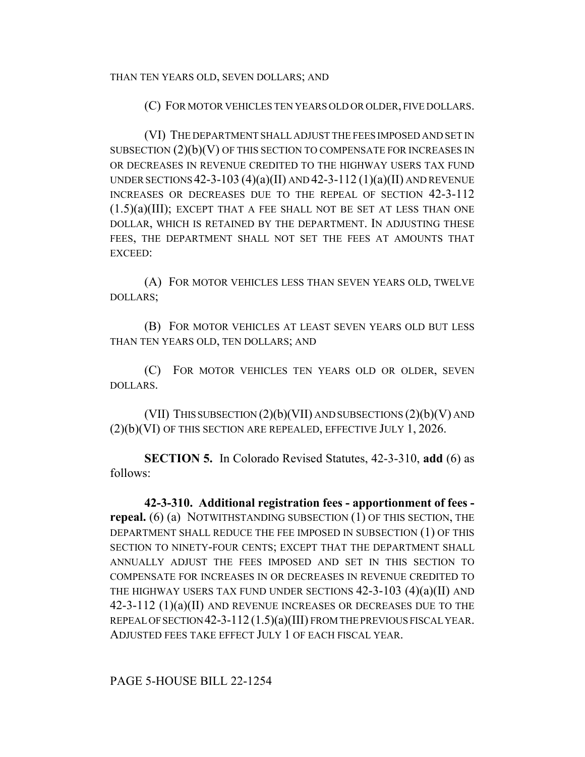(C) FOR MOTOR VEHICLES TEN YEARS OLD OR OLDER, FIVE DOLLARS.

(VI) THE DEPARTMENT SHALL ADJUST THE FEES IMPOSED AND SET IN SUBSECTION (2)(b)(V) OF THIS SECTION TO COMPENSATE FOR INCREASES IN OR DECREASES IN REVENUE CREDITED TO THE HIGHWAY USERS TAX FUND UNDER SECTIONS  $42-3-103(4)(a)(II)$  AND  $42-3-112(1)(a)(II)$  AND REVENUE INCREASES OR DECREASES DUE TO THE REPEAL OF SECTION 42-3-112  $(1.5)(a)(III)$ ; EXCEPT THAT A FEE SHALL NOT BE SET AT LESS THAN ONE DOLLAR, WHICH IS RETAINED BY THE DEPARTMENT. IN ADJUSTING THESE FEES, THE DEPARTMENT SHALL NOT SET THE FEES AT AMOUNTS THAT EXCEED:

(A) FOR MOTOR VEHICLES LESS THAN SEVEN YEARS OLD, TWELVE DOLLARS;

(B) FOR MOTOR VEHICLES AT LEAST SEVEN YEARS OLD BUT LESS THAN TEN YEARS OLD, TEN DOLLARS; AND

(C) FOR MOTOR VEHICLES TEN YEARS OLD OR OLDER, SEVEN DOLLARS.

(VII) THIS SUBSECTION  $(2)(b)(VII)$  AND SUBSECTIONS  $(2)(b)(V)$  AND (2)(b)(VI) OF THIS SECTION ARE REPEALED, EFFECTIVE JULY 1, 2026.

**SECTION 5.** In Colorado Revised Statutes, 42-3-310, **add** (6) as follows:

**42-3-310. Additional registration fees - apportionment of fees repeal.** (6) (a) NOTWITHSTANDING SUBSECTION (1) OF THIS SECTION, THE DEPARTMENT SHALL REDUCE THE FEE IMPOSED IN SUBSECTION (1) OF THIS SECTION TO NINETY-FOUR CENTS; EXCEPT THAT THE DEPARTMENT SHALL ANNUALLY ADJUST THE FEES IMPOSED AND SET IN THIS SECTION TO COMPENSATE FOR INCREASES IN OR DECREASES IN REVENUE CREDITED TO THE HIGHWAY USERS TAX FUND UNDER SECTIONS  $42-3-103$   $(4)(a)(II)$  and 42-3-112 (1)(a)(II) AND REVENUE INCREASES OR DECREASES DUE TO THE REPEAL OF SECTION 42-3-112 (1.5)(a)(III) FROM THE PREVIOUS FISCAL YEAR. ADJUSTED FEES TAKE EFFECT JULY 1 OF EACH FISCAL YEAR.

PAGE 5-HOUSE BILL 22-1254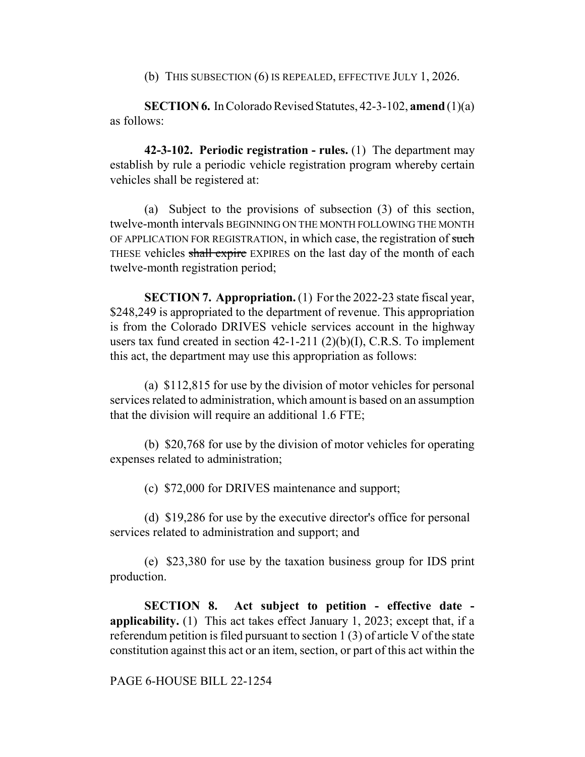(b) THIS SUBSECTION (6) IS REPEALED, EFFECTIVE JULY 1, 2026.

**SECTION 6.** In Colorado Revised Statutes, 42-3-102, **amend** (1)(a) as follows:

**42-3-102. Periodic registration - rules.** (1) The department may establish by rule a periodic vehicle registration program whereby certain vehicles shall be registered at:

(a) Subject to the provisions of subsection (3) of this section, twelve-month intervals BEGINNING ON THE MONTH FOLLOWING THE MONTH OF APPLICATION FOR REGISTRATION, in which case, the registration of such THESE vehicles shall expire EXPIRES on the last day of the month of each twelve-month registration period;

**SECTION 7. Appropriation.** (1) For the 2022-23 state fiscal year, \$248,249 is appropriated to the department of revenue. This appropriation is from the Colorado DRIVES vehicle services account in the highway users tax fund created in section  $42$ -1-211 (2)(b)(I), C.R.S. To implement this act, the department may use this appropriation as follows:

(a) \$112,815 for use by the division of motor vehicles for personal services related to administration, which amount is based on an assumption that the division will require an additional 1.6 FTE;

(b) \$20,768 for use by the division of motor vehicles for operating expenses related to administration;

(c) \$72,000 for DRIVES maintenance and support;

(d) \$19,286 for use by the executive director's office for personal services related to administration and support; and

(e) \$23,380 for use by the taxation business group for IDS print production.

**SECTION 8. Act subject to petition - effective date applicability.** (1) This act takes effect January 1, 2023; except that, if a referendum petition is filed pursuant to section 1 (3) of article V of the state constitution against this act or an item, section, or part of this act within the

PAGE 6-HOUSE BILL 22-1254